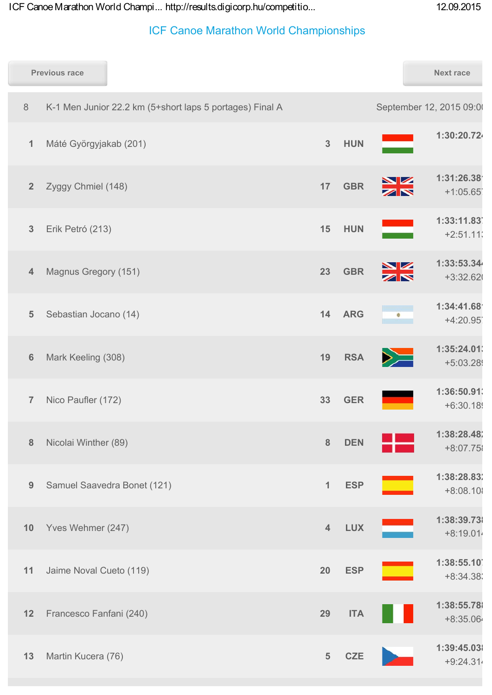|                | <b>Previous race</b>    |                             |                                                          |                  |            |                             | <b>Next race</b>          |
|----------------|-------------------------|-----------------------------|----------------------------------------------------------|------------------|------------|-----------------------------|---------------------------|
| $\,8\,$        |                         |                             | K-1 Men Junior 22.2 km (5+short laps 5 portages) Final A |                  |            |                             | September 12, 2015 09:00  |
| 1              | Máté Györgyjakab (201)  |                             |                                                          | $\mathbf{3}$     | <b>HUN</b> |                             | 1:30:20.724               |
| $\overline{2}$ | Zyggy Chmiel (148)      |                             |                                                          | 17               | <b>GBR</b> |                             | 1:31:26.38'<br>$+1:05.65$ |
| $\mathbf{3}$   | Erik Petró (213)        |                             |                                                          | 15               | <b>HUN</b> |                             | 1:33:11.83<br>$+2:51.11$  |
| $\overline{4}$ | Magnus Gregory (151)    |                             |                                                          | 23               | <b>GBR</b> | $\frac{\sum x_i}{\sum x_i}$ | 1:33:53.34<br>$+3:32.62$  |
| $\overline{5}$ | Sebastian Jocano (14)   |                             |                                                          | 14               | <b>ARG</b> |                             | 1:34:41.68'<br>$+4:20.95$ |
| $6\phantom{1}$ | Mark Keeling (308)      |                             |                                                          | 19               | <b>RSA</b> |                             | 1:35:24.01<br>+5:03.28    |
| $\overline{7}$ | Nico Paufler (172)      |                             |                                                          | 33               | <b>GER</b> |                             | 1:36:50.91<br>$+6:30.18$  |
| $\bf 8$        | Nicolai Winther (89)    |                             |                                                          | $\boldsymbol{8}$ | <b>DEN</b> |                             | 1:38:28.48<br>+8:07.75    |
| $9$            |                         | Samuel Saavedra Bonet (121) |                                                          | $\mathbf{1}$     | <b>ESP</b> |                             | 1:38:28.83<br>$+8:08.101$ |
| 10             | Yves Wehmer (247)       |                             |                                                          | $\overline{4}$   | <b>LUX</b> |                             | 1:38:39.73<br>$+8:19.014$ |
| 11             | Jaime Noval Cueto (119) |                             |                                                          | 20               | <b>ESP</b> |                             | 1:38:55.10<br>$+8:34.38$  |
| 12             | Francesco Fanfani (240) |                             |                                                          | 29               | <b>ITA</b> |                             | 1:38:55.78<br>+8:35.064   |
| 13             | Martin Kucera (76)      |                             |                                                          | $5\phantom{.}$   | <b>CZE</b> |                             | 1:39:45.03<br>$+9:24.314$ |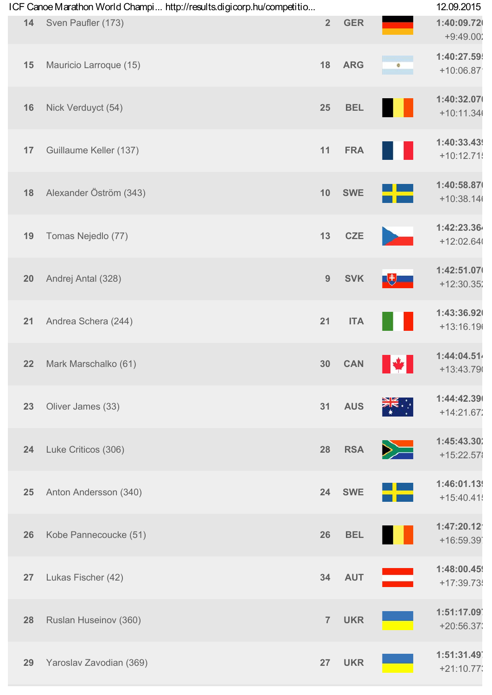|    | ICF Canoe Marathon World Champi http://results.digicorp.hu/competitio |                |            |                 | 12.09.2015                 |
|----|-----------------------------------------------------------------------|----------------|------------|-----------------|----------------------------|
| 14 | Sven Paufler (173)                                                    | $\overline{2}$ | <b>GER</b> |                 | 1:40:09.72<br>$+9:49.002$  |
| 15 | Mauricio Larroque (15)                                                | 18             | <b>ARG</b> | Ò               | 1:40:27.59<br>$+10:06.87$  |
| 16 | Nick Verduyct (54)                                                    | 25             | <b>BEL</b> |                 | 1:40:32.07<br>$+10:11.34($ |
| 17 | Guillaume Keller (137)                                                | 11             | <b>FRA</b> |                 | 1:40:33.43<br>$+10:12.71$  |
| 18 | Alexander Öström (343)                                                | 10             | <b>SWE</b> |                 | 1:40:58.87<br>$+10:38.146$ |
| 19 | Tomas Nejedlo (77)                                                    | 13             | <b>CZE</b> |                 | 1:42:23.364<br>$+12:02.64$ |
| 20 | Andrej Antal (328)                                                    | 9              | <b>SVK</b> | 【も              | 1:42:51.07<br>$+12:30.35'$ |
| 21 | Andrea Schera (244)                                                   | 21             | <b>ITA</b> |                 | 1:43:36.92<br>$+13:16.196$ |
| 22 | Mark Marschalko (61)                                                  | 30             | <b>CAN</b> | <b>W</b><br>T L | 1:44:04.51<br>+13:43.79    |
| 23 | Oliver James (33)                                                     | 31             | <b>AUS</b> |                 | 1:44:42.39<br>$+14:21.672$ |
| 24 | Luke Criticos (306)                                                   | 28             | <b>RSA</b> | $\geq$          | 1:45:43.30<br>+15:22.57    |
| 25 | Anton Andersson (340)                                                 | 24             | <b>SWE</b> |                 | 1:46:01.13<br>$+15:40.41$  |
| 26 | Kobe Pannecoucke (51)                                                 | 26             | <b>BEL</b> |                 | 1:47:20.12<br>+16:59.39    |
| 27 | Lukas Fischer (42)                                                    | 34             | <b>AUT</b> |                 | 1:48:00.45<br>+17:39.73    |
| 28 | Ruslan Huseinov (360)                                                 | $\overline{7}$ | <b>UKR</b> |                 | 1:51:17.09<br>$+20:56.37$  |
| 29 | Yaroslav Zavodian (369)                                               | 27             | <b>UKR</b> |                 | 1:51:31.49<br>$+21:10.77$  |